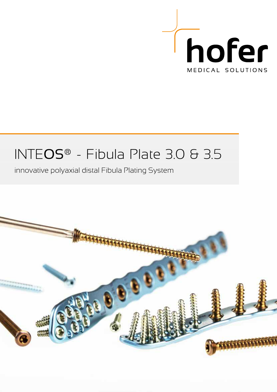

## INTEOS® - Fibula Plate 3.0 & 3.5

### innovative polyaxial distal Fibula Plating System

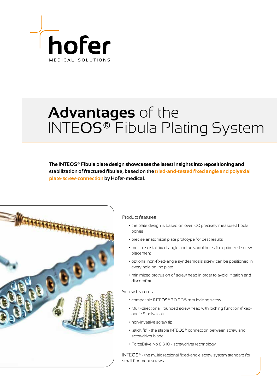

# **Advantages** of the INTEOS® Fibula Plating System

**The INTEOS® Fibula plate design showcases the latest insights into repositioning and stabilization of fractured fibulae, based on the tried-and-tested fixed angle and polyaxial plate-screw-connection by Hofer-medical.** 



#### Product features

- the plate design is based on over 100 precisely measured fibula bones
- precise anatomical plate prototype for best results
- multiple distal fixed-angle and polyaxial holes for optimized screw placement
- optional non-fixed-angle syndesmosis screw can be positioned in every hole on the plate
- minimized protrusion of screw head in order to avoid irritation and discomfort

#### Screw features

- compatible INTEOS® 3.0 & 3.5 mm locking screw
- Multi-directional, rounded screw head with locking function (fixedangle & polyaxial)
- non-invasive screw tip
- "stick fit" the stable INTEOS® connection between screw and screwdriver blade
- ForceDrive No 8 & 10 screwdriver technology

INTEOS® - the multidirectional fixed-angle screw system standard for small fragment screws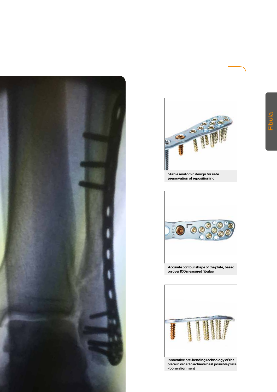



**Stable anatomic design for safe preservation of repositioning**





**plate in order to achieve best possible plate - bone alignment**